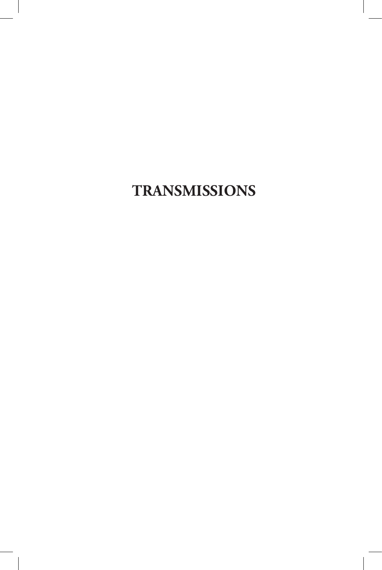# **TRANSMISSIONS**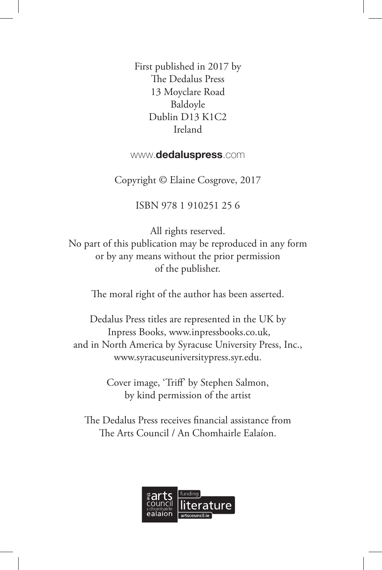First published in 2017 by The Dedalus Press 13 Moyclare Road Baldoyle Dublin D13 K1C2 Ireland

#### www.**dedaluspress**.com

Copyright © Elaine Cosgrove, 2017

#### ISBN 978 1 910251 25 6

All rights reserved. No part of this publication may be reproduced in any form or by any means without the prior permission of the publisher.

The moral right of the author has been asserted.

Dedalus Press titles are represented in the UK by Inpress Books, www.inpressbooks.co.uk, and in North America by Syracuse University Press, Inc., www.syracuseuniversitypress.syr.edu.

> Cover image, 'Trif' by Stephen Salmon, by kind permission of the artist

The Dedalus Press receives financial assistance from The Arts Council / An Chomhairle Ealaíon.

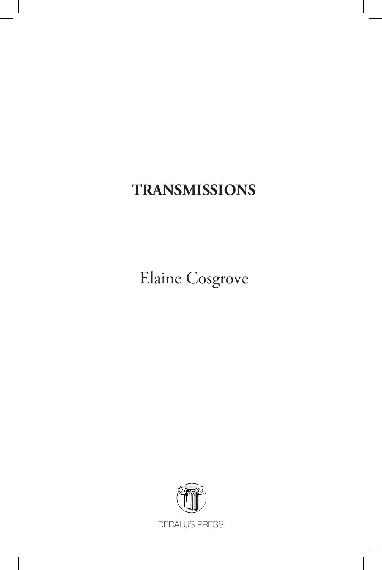## **TRANSMISSIONS**

Elaine Cosgrove

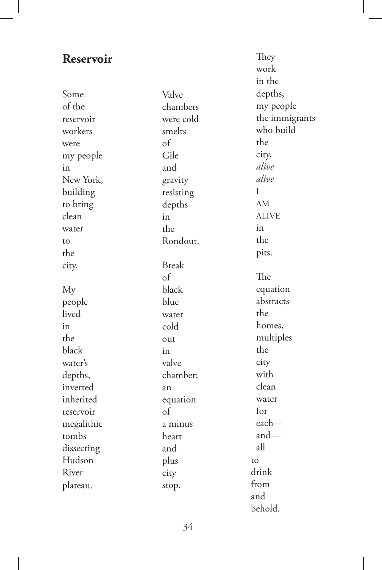### **Reservoir**

Some of the reservoir workers were my people in New York, building to bring clean water to the city. My people lived in the black water's depths, inverted inherited reservoir megalithic tombs dissecting Hudson River plateau.

Valve chambers were cold smelts of Gile and gravity resisting depths in the Rondout. Break of black blue water cold out in valve chamber; an equation of a minus heart and plus city stop.

They work in the depths, my people the immigrants who build the city, *alive alive* I AM ALIVE in the pits. The equation abstracts the homes, multiples the city with clean water for each and all to drink from and behold.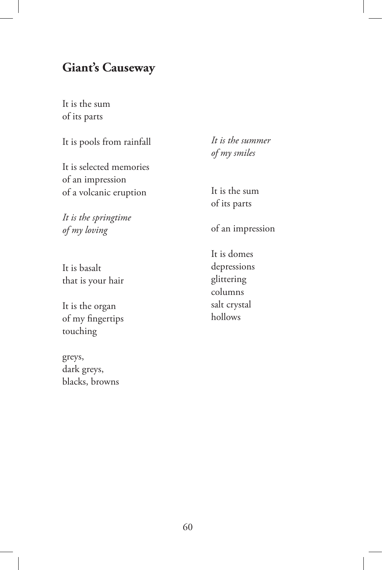### **Giant's Causeway**

It is the sum of its parts

It is pools from rainfall

It is selected memories of an impression of a volcanic eruption

*It is the springtime of my loving*

It is basalt that is your hair

It is the organ of my fngertips touching

greys, dark greys, blacks, browns *It is the summer of my smiles*

It is the sum of its parts

of an impression

It is domes depressions glittering columns salt crystal hollows